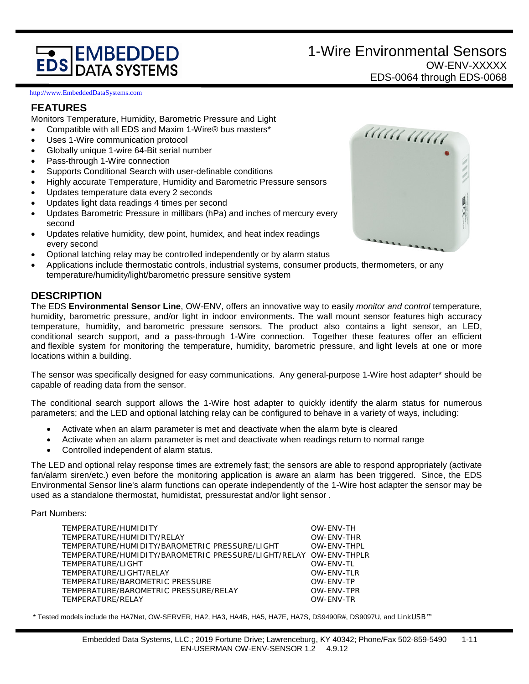# **EDS DATA SYSTEMS**

#### [http://www.EmbeddedDataSystems.com](http://www.embeddeddatasystems.com/)

### **FEATURES**

Monitors Temperature, Humidity, Barometric Pressure and Light

- Compatible with all EDS and Maxim 1-Wire® bus masters\*
- Uses 1-Wire communication protocol
- Globally unique 1-wire 64-Bit serial number
- Pass-through 1-Wire connection
- Supports Conditional Search with user-definable conditions
- Highly accurate Temperature, Humidity and Barometric Pressure sensors
- Updates temperature data every 2 seconds
- Updates light data readings 4 times per second
- Updates Barometric Pressure in millibars (hPa) and inches of mercury every second
- Updates relative humidity, dew point, humidex, and heat index readings every second
- Optional latching relay may be controlled independently or by alarm status
- Applications include thermostatic controls, industrial systems, consumer products, thermometers, or any temperature/humidity/light/barometric pressure sensitive system

## **DESCRIPTION**

The EDS **Environmental Sensor Line**, OW-ENV, offers an innovative way to easily *monitor and control* temperature, humidity, barometric pressure, and/or light in indoor environments. The wall mount sensor features high accuracy temperature, humidity, and barometric pressure sensors. The product also contains a light sensor, an LED, conditional search support, and a pass-through 1-Wire connection. Together these features offer an efficient and flexible system for monitoring the temperature, humidity, barometric pressure, and light levels at one or more locations within a building.

The sensor was specifically designed for easy communications. Any general-purpose 1-Wire host adapter\* should be capable of reading data from the sensor.

The conditional search support allows the 1-Wire host adapter to quickly identify the alarm status for numerous parameters; and the LED and optional latching relay can be configured to behave in a variety of ways, including:

- Activate when an alarm parameter is met and deactivate when the alarm byte is cleared
- Activate when an alarm parameter is met and deactivate when readings return to normal range
- Controlled independent of alarm status.

The LED and optional relay response times are extremely fast; the sensors are able to respond appropriately (activate fan/alarm siren/etc.) even before the monitoring application is aware an alarm has been triggered. Since, the EDS Environmental Sensor line's alarm functions can operate independently of the 1-Wire host adapter the sensor may be used as a standalone thermostat, humidistat, pressurestat and/or light sensor .

#### Part Numbers:

| TEMPERATURE/HUMIDITY                                              | OW-ENV-TH   |
|-------------------------------------------------------------------|-------------|
| TEMPERATURE/HUMIDITY/RELAY                                        | OW-ENV-THR  |
| TEMPERATURE/HUMIDITY/BAROMETRIC PRESSURE/LIGHT                    | OW-ENV-THPL |
| TEMPERATURE/HUMIDITY/BAROMETRIC PRESSURE/LIGHT/RELAY OW-ENV-THPLR |             |
| TEMPERATURE/LIGHT                                                 | OW-ENV-TL   |
| TEMPERATURE/LIGHT/RELAY                                           | OW-ENV-TLR  |
| TEMPERATURE/BAROMETRIC PRESSURE                                   | OW-ENV-TP   |
| TEMPERATURE/BAROMETRIC PRESSURE/RELAY                             | OW-ENV-TPR  |
| TEMPERATURE/RELAY                                                 | OW-ENV-TR   |
|                                                                   |             |

\* Tested models include the HA7Net, OW-SERVER, HA2, HA3, HA4B, HA5, HA7E, HA7S, DS9490R#, DS9097U, and LinkUSB™

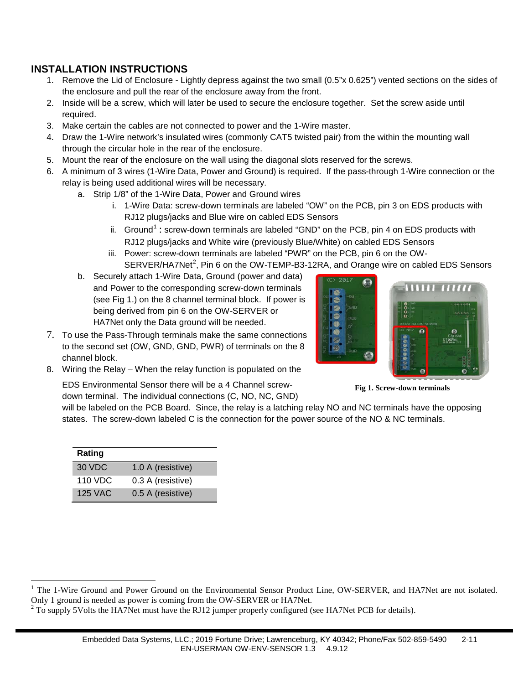## **INSTALLATION INSTRUCTIONS**

- 1. Remove the Lid of Enclosure Lightly depress against the two small (0.5"x 0.625") vented sections on the sides of the enclosure and pull the rear of the enclosure away from the front.
- 2. Inside will be a screw, which will later be used to secure the enclosure together. Set the screw aside until required.
- 3. Make certain the cables are not connected to power and the 1-Wire master.
- 4. Draw the 1-Wire network's insulated wires (commonly CAT5 twisted pair) from the within the mounting wall through the circular hole in the rear of the enclosure.
- 5. Mount the rear of the enclosure on the wall using the diagonal slots reserved for the screws.
- 6. A minimum of 3 wires (1-Wire Data, Power and Ground) is required. If the pass-through 1-Wire connection or the relay is being used additional wires will be necessary.
	- a. Strip 1/8" of the 1-Wire Data, Power and Ground wires
		- i. 1-Wire Data: screw-down terminals are labeled "OW" on the PCB, pin 3 on EDS products with RJ12 plugs/jacks and Blue wire on cabled EDS Sensors
		- ii. Ground<sup>[1](#page-1-0)</sup>: screw-down terminals are labeled "GND" on the PCB, pin 4 on EDS products with RJ12 plugs/jacks and White wire (previously Blue/White) on cabled EDS Sensors
		- iii. Power: screw-down terminals are labeled "PWR" on the PCB, pin 6 on the OW- $SERVER/HA7Net<sup>2</sup>$  $SERVER/HA7Net<sup>2</sup>$  $SERVER/HA7Net<sup>2</sup>$ , Pin 6 on the OW-TEMP-B3-12RA, and Orange wire on cabled EDS Sensors

G

- b. Securely attach 1-Wire Data, Ground (power and data) and Power to the corresponding screw-down terminals (see Fig 1.) on the 8 channel terminal block. If power is being derived from pin 6 on the OW-SERVER or HA7Net only the Data ground will be needed.
- 7. To use the Pass-Through terminals make the same connections to the second set (OW, GND, GND, PWR) of terminals on the 8 channel block.
- 8. Wiring the Relay When the relay function is populated on the

EDS Environmental Sensor there will be a 4 Channel screwdown terminal. The individual connections (C, NO, NC, GND)

**Fig 1. Screw-down terminals**

will be labeled on the PCB Board. Since, the relay is a latching relay NO and NC terminals have the opposing states. The screw-down labeled C is the connection for the power source of the NO & NC terminals.

| Rating  |                   |
|---------|-------------------|
| 30 VDC  | 1.0 A (resistive) |
| 110 VDC | 0.3 A (resistive) |
| 125 VAC | 0.5 A (resistive) |

 $\overline{a}$ 



<span id="page-1-0"></span> $1$  The 1-Wire Ground and Power Ground on the Environmental Sensor Product Line, OW-SERVER, and HA7Net are not isolated. Only 1 ground is needed as power is coming from the OW-SERVER or HA7Net.<br><sup>2</sup> To supply 5Volts the HA7Net must have the RJ12 jumper properly configured (see HA7Net PCB for details).

<span id="page-1-1"></span>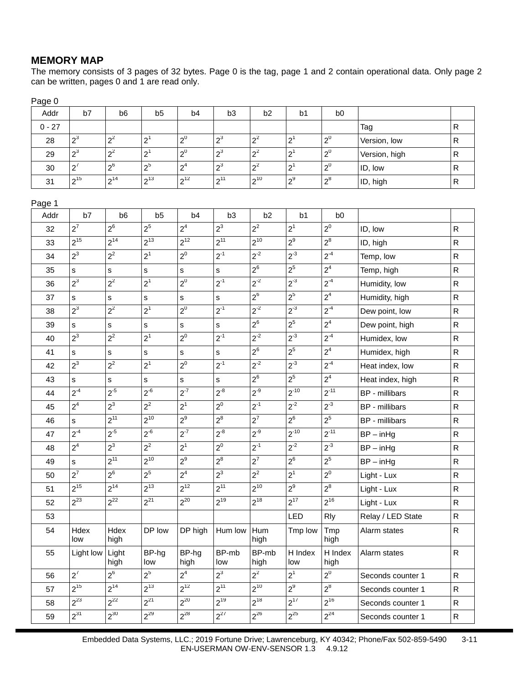## **MEMORY MAP**

Page 0

The memory consists of 3 pages of 32 bytes. Page 0 is the tag, page 1 and 2 contain operational data. Only page 2 can be written, pages 0 and 1 are read only.

Addr | b7 | b6 | b5 | b4 | b3 | b2 | b1 | b0 0 - 27 Tag R 28  $\begin{vmatrix} 2^3 & \end{vmatrix} 2^2 & \begin{vmatrix} 2^1 & \end{vmatrix} 2^0 & \begin{vmatrix} 2^3 & \end{vmatrix} 2^2 & \begin{vmatrix} 2^1 & \end{vmatrix} 2^0 & \begin{vmatrix} \end{vmatrix}$ Version, low  $\begin{vmatrix} \R \end{vmatrix}$ 29  $\begin{vmatrix} 2^3 & \end{vmatrix} 2^2 & \begin{vmatrix} 2^1 & \end{vmatrix} 2^0 & \begin{vmatrix} 2^3 & \end{vmatrix} 2^2 & \begin{vmatrix} 2^1 & \end{vmatrix} 2^0 & \begin{vmatrix} \end{vmatrix}$ Version, high  $\begin{vmatrix} \R \end{vmatrix}$ 30  $\begin{vmatrix} 2^7 & |2^6 & |2^5 & |2^4 & |2^3 & |2^2 & |2^1 & |2^0 & |$  ID, low R 31  $\begin{vmatrix} 2^{15} & |2^{14} & |2^{13} & |2^{12} & |2^{11} & |2^{10} & |2^9 & |2^8 & |$  ID, high R Page 1 Addr | b7 | b6 | b5 | b4 | b3 | b2 | b1 | b0  $32$   $\begin{vmatrix} 2^7 \end{vmatrix}$   $2^6$   $\begin{vmatrix} 2^5 \end{vmatrix}$   $2^4$   $\begin{vmatrix} 2^3 \end{vmatrix}$   $2^2$   $\begin{vmatrix} 2^1 \end{vmatrix}$   $2^0$   $\begin{vmatrix} 1$   $1$   $D$ , low  $\begin{vmatrix} R \end{vmatrix}$  $33$   $\begin{vmatrix} 2^{15} \end{vmatrix} 2^{14}$   $\begin{vmatrix} 2^{13} \end{vmatrix} 2^{12}$   $\begin{vmatrix} 2^{11} \end{vmatrix} 2^{10}$   $\begin{vmatrix} 2^{9} \end{vmatrix} 2^8$   $\begin{vmatrix} 2^8 \end{vmatrix}$  ID, high  $\begin{vmatrix} R \end{vmatrix}$ 34  $\begin{vmatrix} 2^3 & \end{vmatrix} 2^2 & \begin{vmatrix} 2^1 & \end{vmatrix} 2^0 & \begin{vmatrix} 2^{11} & \end{vmatrix} 2^{12} & \begin{vmatrix} 2^{13} & \end{vmatrix} 2^{14} & \begin{vmatrix} 2^{4} & \end{vmatrix}$ Temp, low R 35 s s s s s 2<sup>6</sup> 2<sup>5</sup> 2<sup>4</sup> Temp, high R  $36$   $2^3$   $2^2$   $2^1$   $2^0$   $2^{-1}$   $2^{-2}$   $2^{-3}$   $2^{-4}$  Humidity, low R 37  $\begin{vmatrix} s & s\end{vmatrix} s & s & s \end{vmatrix} s$  or  $\begin{vmatrix} 2^6 & s\end{vmatrix} 2^5$   $\begin{vmatrix} 2^4 & s\end{vmatrix}$  Humidity, high  $\begin{vmatrix} R & s\end{vmatrix}$ 38 2<sup>3</sup> 2<sup>2</sup> 2<sup>1</sup> 2<sup>0</sup> 2-1 2-2 2-3 2-4 Dew point, low R 39 s s s s s 2<sup>6</sup> 2<sup>5</sup> 2<sup>4</sup> Dew point, high R 40  $2^3$   $2^2$   $2^1$   $2^0$   $2^{-1}$   $2^{-2}$   $2^{-3}$   $2^{-4}$  Humidex, low R 41 s s s s s  $2^6$   $2^5$   $2^4$  Humidex, high R 42  $\begin{vmatrix} 2^3 & 2^2 & 2^1 & 2^0 & 2^{-1} & 2^{-2} & 2^{-3} & 2^{-4} \end{vmatrix}$  Heat index, low R 43 s s s s s  $\vert s \vert$  s  $\vert z^6 \vert$   $\vert z^5 \vert$   $\vert z^4 \vert$  Heat index, high R 44  $\left|2^{4}\right\rangle$   $\left|2^{5}\right\rangle$   $\left|2^{6}\right\rangle$   $\left|2^{7}\right\rangle$   $\left|2^{8}\right\rangle$   $\left|2^{9}\right\rangle$   $\left|2^{10}\right\rangle$   $\left|2^{11}\right\rangle$   $\left|{\sf BP\text{-}millibars}\right\rangle$   $\left|{\sf R}\right\rangle$ 45  $\begin{vmatrix} 2^4 & \end{vmatrix} 2^3$   $\begin{vmatrix} 2^2 & \end{vmatrix} 2^1$   $\begin{vmatrix} 2^0 & \end{vmatrix} 2^1$   $\begin{vmatrix} 2^{-1} & \end{vmatrix} 2^{2}$   $\begin{vmatrix} 2^{-3} & \end{vmatrix}$  BP - millibars  $\begin{vmatrix} \text{R} \end{vmatrix}$ 46 s 2<sup>11</sup> 2<sup>10</sup> 2<sup>9</sup> 2<sup>8</sup> 2<sup>7</sup> 2<sup>6</sup> 2<sup>5</sup> BP - millibars R 47  $\begin{vmatrix} 2^{\cdot 4} & \end{vmatrix} 2^{\cdot 5}$   $\begin{vmatrix} 2^{\cdot 6} & \end{vmatrix} 2^{\cdot 7}$   $\begin{vmatrix} 2^{\cdot 8} & \end{vmatrix} 2^{\cdot 9}$   $\begin{vmatrix} 2^{\cdot 10} & \end{vmatrix} 2^{\cdot 11}$   $\begin{vmatrix} BP-inHg \end{vmatrix}$ 48  $\begin{vmatrix} 2^4 & \end{vmatrix} 2^3$   $\begin{vmatrix} 2^2 & \end{vmatrix} 2^1$   $\begin{vmatrix} 2^0 & \end{vmatrix} 2^1$   $\begin{vmatrix} 2^{-1} & \end{vmatrix} 2^{2}$   $\begin{vmatrix} 2^{-3} & \end{vmatrix}$ BP – in Hg 49 s 2<sup>11</sup> 2<sup>10</sup> 2<sup>9</sup> 2<sup>8</sup> 2<sup>7</sup> 2<sup>6</sup> 2<sup>5</sup> BP – inHg R 50 2<sup>7</sup> 2<sup>6</sup> 2<sup>5</sup> 2<sup>4</sup> 2<sup>3</sup> 2<sup>2</sup> 2<sup>1</sup> 2<sup>0</sup> Light - Lux R 51 2<sup>15</sup> 2<sup>14</sup> 2<sup>13</sup> 2<sup>12</sup> 2<sup>11</sup> 2<sup>10</sup> 2<sup>9</sup> 2<sup>8</sup> Light - Lux R  $52$   $\begin{vmatrix} 2^{23} \end{vmatrix}$   $\begin{vmatrix} 2^{22} \end{vmatrix}$   $\begin{vmatrix} 2^{20} \end{vmatrix}$   $\begin{vmatrix} 2^{19} \end{vmatrix}$   $\begin{vmatrix} 2^{18} \end{vmatrix}$   $\begin{vmatrix} 2^{17} \end{vmatrix}$   $\begin{vmatrix} 2^{16} \end{vmatrix}$   $\begin{vmatrix} 1 \ \end{vmatrix}$  Light - Lux  $\begin{vmatrix} R \end{vmatrix}$ 53 LED Rly Relay / LED State R 54 Hdex low **Hdex** high DP low  $\overline{DP}$  high  $\overline{Hum}$  low  $\overline{Hum}$ high Tmp low Tmp high Alarm states  $\vert R \vert$ 55 Light low Light high BP-hg low BP-hg high BP-mb low BP-mb high H Index low H Index high Alarm states R 56 2<sup>7</sup> 2<sup>6</sup> 2<sup>5</sup> 2<sup>4</sup> 2<sup>3</sup> 2<sup>2</sup> 2<sup>1</sup> 2<sup>0</sup> Seconds counter 1 R  $\frac{1}{2^{15}}$   $\frac{1}{2^{14}}$   $\frac{1}{2^{13}}$   $\frac{1}{2^{12}}$   $\frac{1}{2^{11}}$   $\frac{1}{2^{10}}$   $\frac{1}{2^9}$   $\frac{1}{2^8}$  Seconds counter 1  $\frac{1}{2^{23}}$   $\frac{1}{2^{22}}$   $\frac{1}{2^{21}}$   $\frac{1}{2^{20}}$   $\frac{1}{2^{19}}$   $\frac{1}{2^{18}}$   $\frac{1}{2^{17}}$   $\frac{1}{2^{16}}$  Seconds counter 1  $\frac{1}{2^{31}}$   $\frac{1}{2^{30}}$   $\frac{2^{29}}{2^{28}}$   $\frac{1}{2^{27}}$   $\frac{1}{2^{26}}$   $\frac{1}{2^{25}}$   $\frac{1}{2^{24}}$  Seconds counter 1

> Embedded Data Systems, LLC.; 2019 Fortune Drive; Lawrenceburg, KY 40342; Phone/Fax 502-859-5490 3-11 EN-USERMAN OW-ENV-SENSOR 1.3 4.9.12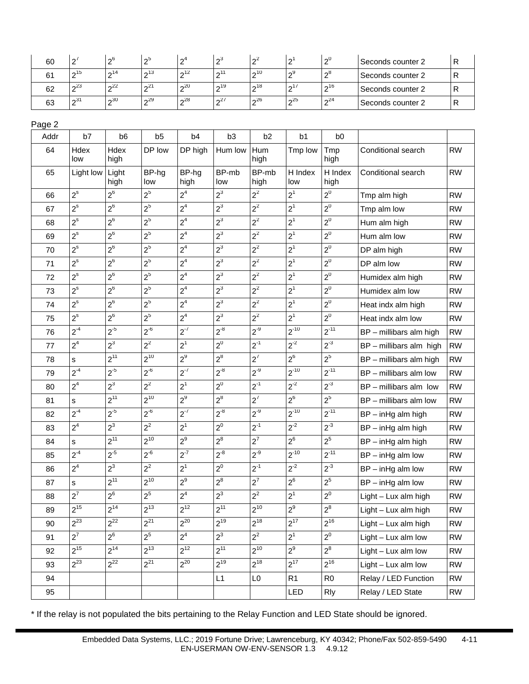| 60 | $\sqrt{2}$ | $\sim 6$  | nЭ        | Ωí        | റാ                   | $\sim$    | $\sim$ | ึ∾                     | ⊧Seconds counter 2 |  |
|----|------------|-----------|-----------|-----------|----------------------|-----------|--------|------------------------|--------------------|--|
| Q1 | $\sim$ 15  | $\sim$ 14 | $\sim$ 13 | $\sim$ 12 | $\sim$ <sup>11</sup> | $\sim$ 10 | ົດ9    | -ი8                    | Seconds counter 2  |  |
| 62 | $\sim$ 23  | $\sim$ 22 | $n^{21}$  | $\sim$ 20 | $\sim$ 19            | $\sim$ 18 | 0.17   | $\mathsf{\Omega}^{16}$ | Seconds counter 2  |  |
| 63 | $\sim$ 31  | $\sim$ 30 | $\sim$ 29 | $\sim$ 28 | $n^{27}$             | 26        | 25     | $\Omega$ <sup>24</sup> | Seconds counter 2  |  |

| Addr | b7             | b <sub>6</sub> | b <sub>5</sub> | b <sub>4</sub> | b <sub>3</sub> | b <sub>2</sub> | b <sub>1</sub> | b <sub>0</sub>  |                          |           |
|------|----------------|----------------|----------------|----------------|----------------|----------------|----------------|-----------------|--------------------------|-----------|
| 64   | Hdex<br>low    | Hdex<br>high   | DP low         | DP high        | Hum low        | Hum<br>high    | Tmp low        | Tmp<br>high     | Conditional search       | <b>RW</b> |
| 65   | Light low      | Light<br>high  | BP-hg<br>low   | BP-hg<br>high  | BP-mb<br>low   | BP-mb<br>high  | H Index<br>low | H Index<br>high | Conditional search       | <b>RW</b> |
| 66   | $2^s$          | $2^6$          | $2^5$          | 2 <sup>4</sup> | $2^3$          | $2^2$          | $2^1$          | $2^0$           | Tmp alm high             | <b>RW</b> |
| 67   | $2^{s}$        | $2^6$          | $2^5$          | 2 <sup>4</sup> | $2^3$          | $2^2$          | $2^1$          | $2^0$           | Tmp alm low              | <b>RW</b> |
| 68   | $2^s$          | $2^6$          | $2^5$          | 2 <sup>4</sup> | $2^3$          | $2^2$          | $2^1$          | $2^0\,$         | Hum alm high             | <b>RW</b> |
| 69   | $2^s$          | $2^6$          | $2^5$          | 2 <sup>4</sup> | $2^3$          | $2^2$          | 2 <sup>1</sup> | $2^0$           | Hum alm low              | <b>RW</b> |
| 70   | $2^s$          | $2^6$          | 2 <sup>5</sup> | 2 <sup>4</sup> | $2^3$          | $2^2$          | $2^1$          | $2^0$           | DP alm high              | <b>RW</b> |
| 71   | $2^s$          | $2^6$          | $2^5$          | 2 <sup>4</sup> | $2^3$          | $2^2$          | 2 <sup>1</sup> | $2^0$           | DP alm low               | <b>RW</b> |
| 72   | $2^s$          | $2^6$          | $2^5$          | 2 <sup>4</sup> | $2^3$          | $2^2$          | 2 <sup>1</sup> | $2^0$           | Humidex alm high         | <b>RW</b> |
| 73   | $2^{\rm s}$    | $2^6$          | $2^5$          | 2 <sup>4</sup> | $2^3$          | $2^2$          | $2^1$          | $2^0$           | Humidex alm low          | <b>RW</b> |
| 74   | $2^s$          | $2^6$          | $2^5$          | 2 <sup>4</sup> | $2^3$          | $2^2$          | 2 <sup>1</sup> | $2^0$           | Heat indx alm high       | <b>RW</b> |
| 75   | $2^s$          | $2^6$          | $2^5$          | 2 <sup>4</sup> | $2^3$          | $2^2$          | 2 <sup>1</sup> | $2^0$           | Heat indx alm low        | <b>RW</b> |
| 76   | $2^{-4}$       | $2^{-5}$       | $2^{-6}$       | $2^{-7}$       | $2^{-8}$       | $2^{-9}$       | $2^{-10}$      | $2^{-11}$       | BP - millibars alm high  | <b>RW</b> |
| 77   | 2 <sup>4</sup> | $2^3$          | $2^2$          | $2^1$          | $2^0$          | $2^{-1}$       | $2^{-2}$       | $2^{-3}$        | BP - millibars alm high  | <b>RW</b> |
| 78   | s              | $2^{11}$       | $2^{10}$       | $2^9$          | $2^8$          | $2^7$          | $2^6$          | $2^5$           | BP - millibars alm high  | <b>RW</b> |
| 79   | $2^{-4}$       | $2^{-5}$       | $2^{-6}$       | $2^{-7}$       | $2^{-8}$       | $2^{-9}$       | $2^{-10}$      | $2^{-11}$       | $BP$ – millibars alm low | <b>RW</b> |
| 80   | 2 <sup>4</sup> | $2^3$          | $2^2$          | $2^1$          | $2^0$          | $2^{-1}$       | $2^{-2}$       | $2^{-3}$        | BP - millibars alm low   | <b>RW</b> |
| 81   | s              | $2^{11}$       | $2^{10}$       | $2^9$          | $2^8$          | $2^7$          | $2^6$          | $2^5$           | $BP$ – millibars alm low | <b>RW</b> |
| 82   | $2^{-4}$       | $2^{-5}$       | $2^{-6}$       | $2^{-7}$       | $2^{-8}$       | $2^{-9}$       | $2^{-10}$      | $2^{-11}$       | $BP - inHg$ alm high     | <b>RW</b> |
| 83   | 2 <sup>4</sup> | $2^3$          | $2^2$          | $2^1$          | $2^0$          | $2^{-1}$       | $2^{-2}$       | $2^{-3}$        | $BP - inHg$ alm high     | <b>RW</b> |
| 84   | s              | $2^{11}$       | $2^{10}$       | $2^9$          | $2^8$          | $2^7$          | $2^6$          | $2^5$           | $BP - inHg$ alm high     | <b>RW</b> |
| 85   | $2^{-4}$       | $2^{-5}$       | $2^{-6}$       | $2^{-7}$       | $2^{-8}$       | $2^{-9}$       | $2^{-10}$      | $2^{-11}$       | $BP - inHg$ alm low      | <b>RW</b> |
| 86   | 2 <sup>4</sup> | $2^3$          | $2^2$          | 2 <sup>1</sup> | $2^0$          | $2^{-1}$       | $2^{-2}$       | $2^{-3}$        | $BP - inHg$ alm low      | <b>RW</b> |
| 87   | s              | $2^{11}$       | $2^{10}$       | $2^9$          | $2^8$          | $2^7$          | $2^6$          | $2^5$           | $BP - inHg$ alm low      | <b>RW</b> |
| 88   | $2^7$          | $2^6$          | 2 <sup>5</sup> | 2 <sup>4</sup> | $2^3$          | $2^2$          | $2^1$          | $2^0$           | Light - Lux alm high     | <b>RW</b> |
| 89   | $2^{15}$       | $2^{14}$       | $2^{13}$       | $2^{12}$       | $2^{11}$       | $2^{10}$       | $2^9$          | $2^8$           | $Light - Lux$ alm high   | <b>RW</b> |
| 90   | $2^{23}$       | $2^{22}$       | $2^{21}$       | $2^{20}$       | $2^{19}$       | $2^{18}$       | $2^{17}$       | $2^{16}$        | Light - Lux alm high     | <b>RW</b> |
| 91   | $2^7$          | $2^6$          | $2^5$          | 2 <sup>4</sup> | $2^3$          | $2^2$          | 2 <sup>1</sup> | $2^0$           | $Light - Lux$ alm low    | <b>RW</b> |
| 92   | $2^{15}$       | $2^{14}$       | $2^{13}$       | $2^{12}$       | $2^{11}$       | $2^{10}$       | $2^9$          | $2^8$           | Light - Lux alm low      | <b>RW</b> |
| 93   | $2^{23}$       | $2^{22}$       | $2^{21}$       | $2^{20}$       | $2^{19}$       | $2^{18}$       | $2^{17}$       | $2^{16}$        | Light - Lux alm low      | <b>RW</b> |
| 94   |                |                |                |                | L1             | L <sub>0</sub> | R1             | R <sub>0</sub>  | Relay / LED Function     | <b>RW</b> |
| 95   |                |                |                |                |                |                | LED            | <b>Rly</b>      | Relay / LED State        | <b>RW</b> |

\* If the relay is not populated the bits pertaining to the Relay Function and LED State should be ignored.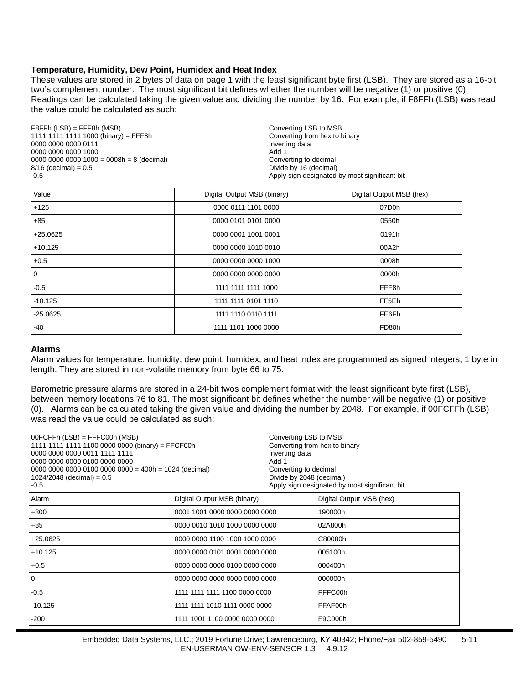#### **Temperature, Humidity, Dew Point, Humidex and Heat Index**

These values are stored in 2 bytes of data on page 1 with the least significant byte first (LSB). They are stored as a 16-bit two's complement number. The most significant bit defines whether the number will be negative (1) or positive (0). Readings can be calculated taking the given value and dividing the number by 16. For example, if F8FFh (LSB) was read the value could be calculated as such:

F8FFh (LSB) = FFF8h (MSB)<br>1111 1111 1111 1000 (binary) = FFF8h Converting from hex to binary 1111 1111 1111 1000 (binary) = FFF8h Converting from heating from heating from heating from heating data 0000 0000 0000 0111 **Invertitude of the United States of the United States of the United States of the United States of the United States of the United States of the United States of the United States of the United States** 0000 0000 0000 1000<br>0000 0000 0000 1000 = 0008h = 8 (decimal) decimal and the converting to decimal 0000 0000 0000 1000 = 0008h = 8 (decimal)  $8/16$  (decimal) = 0.5 8/16 (decimal) = 0.5 extending to the control of the control of the Divide by 16 (decimal) -0.5 extending of the control of the control of the control of the control of the control of the control of the control of the cont

Apply sign designated by most significant bit

| Value      | Digital Output MSB (binary) | Digital Output MSB (hex) |
|------------|-----------------------------|--------------------------|
| $+125$     | 0000 0111 1101 0000         | 07D0h                    |
| $+85$      | 0000 0101 0101 0000         | 0550h                    |
| $+25.0625$ | 0000 0001 1001 0001         | 0191h                    |
| $+10.125$  | 0000 0000 1010 0010         | 00A2h                    |
| $+0.5$     | 0000 0000 0000 1000         | 0008h                    |
| 0          | 0000 0000 0000 0000         | 0000h                    |
| $-0.5$     | 1111 1111 1111 1000         | FFF <sub>8h</sub>        |
| $-10.125$  | 1111 1111 0101 1110         | FF <sub>5Eh</sub>        |
| $-25.0625$ | 1111 1110 0110 1111         | FE6Fh                    |
| -40        | 1111 1101 1000 0000         | FD80h                    |

#### **Alarms**

Alarm values for temperature, humidity, dew point, humidex, and heat index are programmed as signed integers, 1 byte in length. They are stored in non-volatile memory from byte 66 to 75.

Barometric pressure alarms are stored in a 24-bit twos complement format with the least significant byte first (LSB), between memory locations 76 to 81. The most significant bit defines whether the number will be negative (1) or positive (0). Alarms can be calculated taking the given value and dividing the number by 2048. For example, if 00FCFFh (LSB) was read the value could be calculated as such:

| $00FCFFh$ (LSB) = FFFC00h (MSB)<br>1111 1111 1111 1100 0000 0000 (binary) = FFCF00h<br>0000 0000 0000 0011 1111 1111<br>0000 0000 0000 0100 0000 0000<br>$0000 0000 0000 0100 0000 0000 = 400h = 1024$ (decimal)<br>$1024/2048$ (decimal) = $0.5$<br>$-0.5$ |                               | Converting LSB to MSB<br>Converting from hex to binary<br>Inverting data<br>Add 1<br>Converting to decimal<br>Divide by 2048 (decimal) | Apply sign designated by most significant bit |
|-------------------------------------------------------------------------------------------------------------------------------------------------------------------------------------------------------------------------------------------------------------|-------------------------------|----------------------------------------------------------------------------------------------------------------------------------------|-----------------------------------------------|
| Alarm                                                                                                                                                                                                                                                       | Digital Output MSB (binary)   |                                                                                                                                        | Digital Output MSB (hex)                      |
| $+800$                                                                                                                                                                                                                                                      | 0001 1001 0000 0000 0000 0000 |                                                                                                                                        | 190000h                                       |
| $+85$                                                                                                                                                                                                                                                       | 0000 0010 1010 1000 0000 0000 |                                                                                                                                        | 02A800h                                       |
| $+25.0625$                                                                                                                                                                                                                                                  | 0000 0000 1100 1000 1000 0000 |                                                                                                                                        | C80080h                                       |
| $+10.125$                                                                                                                                                                                                                                                   | 0000 0000 0101 0001 0000 0000 |                                                                                                                                        | 005100h                                       |
| $+0.5$                                                                                                                                                                                                                                                      | 0000 0000 0000 0100 0000 0000 |                                                                                                                                        | 000400h                                       |
| 0                                                                                                                                                                                                                                                           | 0000 0000 0000 0000 0000 0000 |                                                                                                                                        | 000000h                                       |
| $-0.5$                                                                                                                                                                                                                                                      | 1111 1111 1111 1100 0000 0000 |                                                                                                                                        | FFFC00h                                       |
| $-10.125$                                                                                                                                                                                                                                                   | 1111 1111 1010 1111 0000 0000 |                                                                                                                                        | FFAF00h                                       |
| $-200$                                                                                                                                                                                                                                                      | 1111 1001 1100 0000 0000 0000 |                                                                                                                                        | F9C000h                                       |
|                                                                                                                                                                                                                                                             |                               |                                                                                                                                        |                                               |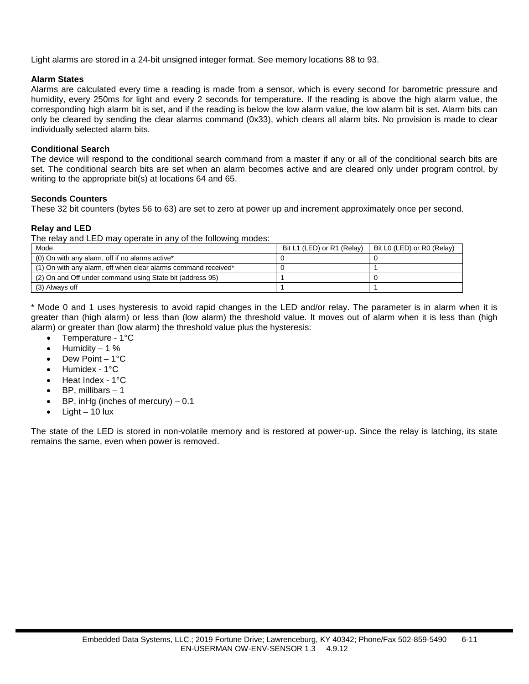Light alarms are stored in a 24-bit unsigned integer format. See memory locations 88 to 93.

#### **Alarm States**

Alarms are calculated every time a reading is made from a sensor, which is every second for barometric pressure and humidity, every 250ms for light and every 2 seconds for temperature. If the reading is above the high alarm value, the corresponding high alarm bit is set, and if the reading is below the low alarm value, the low alarm bit is set. Alarm bits can only be cleared by sending the clear alarms command (0x33), which clears all alarm bits. No provision is made to clear individually selected alarm bits.

#### **Conditional Search**

The device will respond to the conditional search command from a master if any or all of the conditional search bits are set. The conditional search bits are set when an alarm becomes active and are cleared only under program control, by writing to the appropriate bit(s) at locations 64 and 65.

#### **Seconds Counters**

These 32 bit counters (bytes 56 to 63) are set to zero at power up and increment approximately once per second.

#### **Relay and LED**

The relay and LED may operate in any of the following modes:

| Mode                                                           | Bit L1 (LED) or R1 (Relay) | Bit L0 (LED) or R0 (Relay) |
|----------------------------------------------------------------|----------------------------|----------------------------|
| (0) On with any alarm, off if no alarms active*                |                            |                            |
| (1) On with any alarm, off when clear alarms command received* |                            |                            |
| (2) On and Off under command using State bit (address 95)      |                            |                            |
| (3) Always off                                                 |                            |                            |

\* Mode 0 and 1 uses hysteresis to avoid rapid changes in the LED and/or relay. The parameter is in alarm when it is greater than (high alarm) or less than (low alarm) the threshold value. It moves out of alarm when it is less than (high alarm) or greater than (low alarm) the threshold value plus the hysteresis:

- Temperature 1°C
- Humidity  $-1$  %
- Dew Point 1°C
- Humidex 1°C
- Heat Index 1°C
- BP, millibars  $-1$
- BP, inHg (inches of mercury)  $-0.1$
- $Light 10$  lux

The state of the LED is stored in non-volatile memory and is restored at power-up. Since the relay is latching, its state remains the same, even when power is removed.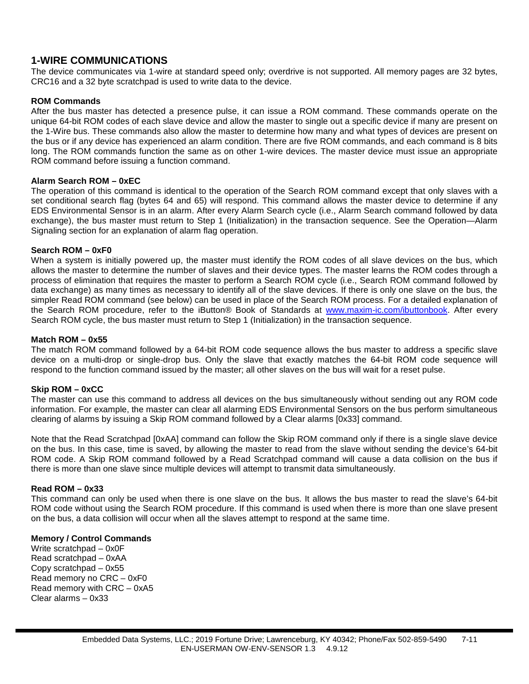## **1-WIRE COMMUNICATIONS**

The device communicates via 1-wire at standard speed only; overdrive is not supported. All memory pages are 32 bytes, CRC16 and a 32 byte scratchpad is used to write data to the device.

#### **ROM Commands**

After the bus master has detected a presence pulse, it can issue a ROM command. These commands operate on the unique 64-bit ROM codes of each slave device and allow the master to single out a specific device if many are present on the 1-Wire bus. These commands also allow the master to determine how many and what types of devices are present on the bus or if any device has experienced an alarm condition. There are five ROM commands, and each command is 8 bits long. The ROM commands function the same as on other 1-wire devices. The master device must issue an appropriate ROM command before issuing a function command.

#### **Alarm Search ROM – 0xEC**

The operation of this command is identical to the operation of the Search ROM command except that only slaves with a set conditional search flag (bytes 64 and 65) will respond. This command allows the master device to determine if any EDS Environmental Sensor is in an alarm. After every Alarm Search cycle (i.e., Alarm Search command followed by data exchange), the bus master must return to Step 1 (Initialization) in the transaction sequence. See the Operation—Alarm Signaling section for an explanation of alarm flag operation.

#### **Search ROM – 0xF0**

When a system is initially powered up, the master must identify the ROM codes of all slave devices on the bus, which allows the master to determine the number of slaves and their device types. The master learns the ROM codes through a process of elimination that requires the master to perform a Search ROM cycle (i.e., Search ROM command followed by data exchange) as many times as necessary to identify all of the slave devices. If there is only one slave on the bus, the simpler Read ROM command (see below) can be used in place of the Search ROM process. For a detailed explanation of the Search ROM procedure, refer to the iButton® Book of Standards at [www.maxim-ic.com/ibuttonbook.](http://www.maxim-ic.com/ibuttonbook) After every Search ROM cycle, the bus master must return to Step 1 (Initialization) in the transaction sequence.

#### **Match ROM – 0x55**

The match ROM command followed by a 64-bit ROM code sequence allows the bus master to address a specific slave device on a multi-drop or single-drop bus. Only the slave that exactly matches the 64-bit ROM code sequence will respond to the function command issued by the master; all other slaves on the bus will wait for a reset pulse.

#### **Skip ROM – 0xCC**

The master can use this command to address all devices on the bus simultaneously without sending out any ROM code information. For example, the master can clear all alarming EDS Environmental Sensors on the bus perform simultaneous clearing of alarms by issuing a Skip ROM command followed by a Clear alarms [0x33] command.

Note that the Read Scratchpad [0xAA] command can follow the Skip ROM command only if there is a single slave device on the bus. In this case, time is saved, by allowing the master to read from the slave without sending the device's 64-bit ROM code. A Skip ROM command followed by a Read Scratchpad command will cause a data collision on the bus if there is more than one slave since multiple devices will attempt to transmit data simultaneously.

#### **Read ROM – 0x33**

This command can only be used when there is one slave on the bus. It allows the bus master to read the slave's 64-bit ROM code without using the Search ROM procedure. If this command is used when there is more than one slave present on the bus, a data collision will occur when all the slaves attempt to respond at the same time.

#### **Memory / Control Commands**

Write scratchpad – 0x0F Read scratchpad – 0xAA Copy scratchpad – 0x55 Read memory no CRC – 0xF0 Read memory with CRC – 0xA5 Clear alarms – 0x33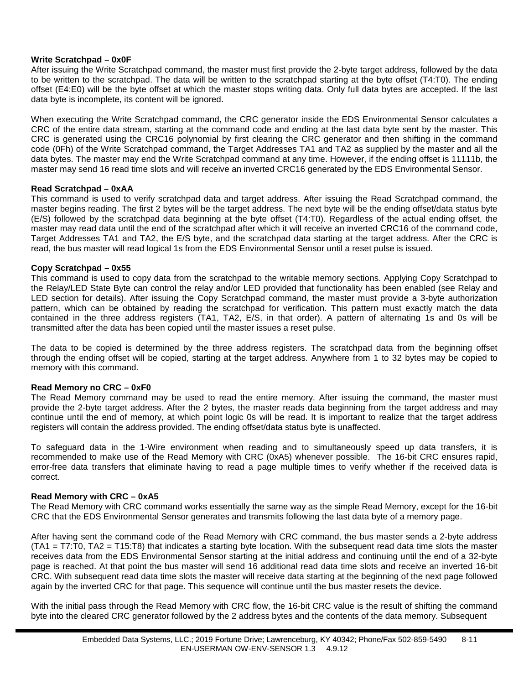#### **Write Scratchpad – 0x0F**

After issuing the Write Scratchpad command, the master must first provide the 2-byte target address, followed by the data to be written to the scratchpad. The data will be written to the scratchpad starting at the byte offset (T4:T0). The ending offset (E4:E0) will be the byte offset at which the master stops writing data. Only full data bytes are accepted. If the last data byte is incomplete, its content will be ignored.

When executing the Write Scratchpad command, the CRC generator inside the EDS Environmental Sensor calculates a CRC of the entire data stream, starting at the command code and ending at the last data byte sent by the master. This CRC is generated using the CRC16 polynomial by first clearing the CRC generator and then shifting in the command code (0Fh) of the Write Scratchpad command, the Target Addresses TA1 and TA2 as supplied by the master and all the data bytes. The master may end the Write Scratchpad command at any time. However, if the ending offset is 11111b, the master may send 16 read time slots and will receive an inverted CRC16 generated by the EDS Environmental Sensor.

#### **Read Scratchpad – 0xAA**

This command is used to verify scratchpad data and target address. After issuing the Read Scratchpad command, the master begins reading. The first 2 bytes will be the target address. The next byte will be the ending offset/data status byte (E/S) followed by the scratchpad data beginning at the byte offset (T4:T0). Regardless of the actual ending offset, the master may read data until the end of the scratchpad after which it will receive an inverted CRC16 of the command code, Target Addresses TA1 and TA2, the E/S byte, and the scratchpad data starting at the target address. After the CRC is read, the bus master will read logical 1s from the EDS Environmental Sensor until a reset pulse is issued.

#### **Copy Scratchpad – 0x55**

This command is used to copy data from the scratchpad to the writable memory sections. Applying Copy Scratchpad to the Relay/LED State Byte can control the relay and/or LED provided that functionality has been enabled (see Relay and LED section for details). After issuing the Copy Scratchpad command, the master must provide a 3-byte authorization pattern, which can be obtained by reading the scratchpad for verification. This pattern must exactly match the data contained in the three address registers (TA1, TA2, E/S, in that order). A pattern of alternating 1s and 0s will be transmitted after the data has been copied until the master issues a reset pulse.

The data to be copied is determined by the three address registers. The scratchpad data from the beginning offset through the ending offset will be copied, starting at the target address. Anywhere from 1 to 32 bytes may be copied to memory with this command.

#### **Read Memory no CRC – 0xF0**

The Read Memory command may be used to read the entire memory. After issuing the command, the master must provide the 2-byte target address. After the 2 bytes, the master reads data beginning from the target address and may continue until the end of memory, at which point logic 0s will be read. It is important to realize that the target address registers will contain the address provided. The ending offset/data status byte is unaffected.

To safeguard data in the 1-Wire environment when reading and to simultaneously speed up data transfers, it is recommended to make use of the Read Memory with CRC (0xA5) whenever possible. The 16-bit CRC ensures rapid, error-free data transfers that eliminate having to read a page multiple times to verify whether if the received data is correct.

#### **Read Memory with CRC – 0xA5**

The Read Memory with CRC command works essentially the same way as the simple Read Memory, except for the 16-bit CRC that the EDS Environmental Sensor generates and transmits following the last data byte of a memory page.

After having sent the command code of the Read Memory with CRC command, the bus master sends a 2-byte address (TA1 = T7:T0, TA2 = T15:T8) that indicates a starting byte location. With the subsequent read data time slots the master receives data from the EDS Environmental Sensor starting at the initial address and continuing until the end of a 32-byte page is reached. At that point the bus master will send 16 additional read data time slots and receive an inverted 16-bit CRC. With subsequent read data time slots the master will receive data starting at the beginning of the next page followed again by the inverted CRC for that page. This sequence will continue until the bus master resets the device.

With the initial pass through the Read Memory with CRC flow, the 16-bit CRC value is the result of shifting the command byte into the cleared CRC generator followed by the 2 address bytes and the contents of the data memory. Subsequent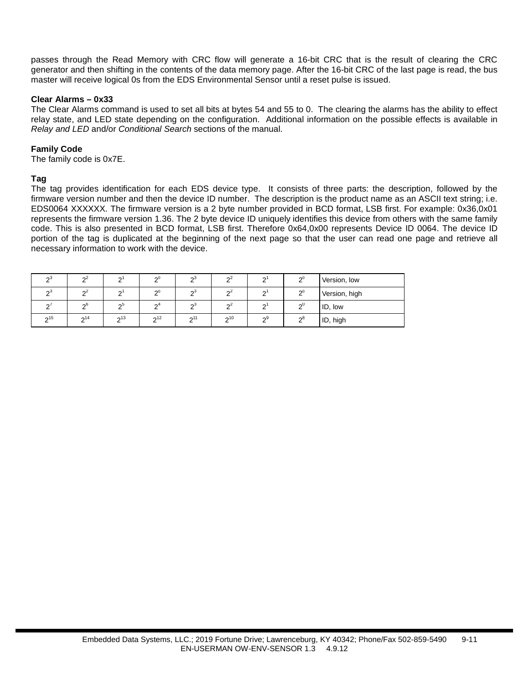passes through the Read Memory with CRC flow will generate a 16-bit CRC that is the result of clearing the CRC generator and then shifting in the contents of the data memory page. After the 16-bit CRC of the last page is read, the bus master will receive logical 0s from the EDS Environmental Sensor until a reset pulse is issued.

#### **Clear Alarms – 0x33**

The Clear Alarms command is used to set all bits at bytes 54 and 55 to 0. The clearing the alarms has the ability to effect relay state, and LED state depending on the configuration. Additional information on the possible effects is available in *Relay and LED* and/or *Conditional Search* sections of the manual.

#### **Family Code**

The family code is 0x7E.

#### **Tag**

The tag provides identification for each EDS device type. It consists of three parts: the description, followed by the firmware version number and then the device ID number. The description is the product name as an ASCII text string; i.e. EDS0064 XXXXXX. The firmware version is a 2 byte number provided in BCD format, LSB first. For example: 0x36,0x01 represents the firmware version 1.36. The 2 byte device ID uniquely identifies this device from others with the same family code. This is also presented in BCD format, LSB first. Therefore 0x64,0x00 represents Device ID 0064. The device ID portion of the tag is duplicated at the beginning of the next page so that the user can read one page and retrieve all necessary information to work with the device.

| ഹാ     | Ω         | $\sim$ | $\Omega$            | ഹ               | $\sim$    | ົ               | $\mathbf{C}^{0}$ | Version, low  |
|--------|-----------|--------|---------------------|-----------------|-----------|-----------------|------------------|---------------|
| n<br>ഹ | Ω         | $\sim$ | $\sim$              | $\sqrt{2}$<br>ഹ | $\sim$    | ⌒               | $\mathbf{v}^0$   | Version, high |
| $\sim$ | ინ        | ഹ      | $\mathsf{\Omega}^4$ | $\sim$<br>റാ    | $\sim$    | ⌒               | $\sim 0$         | ID, low       |
| 215    | $\sim$ 14 | 213    | 2 <sup>12</sup>     | 0.11            | $\sim$ 10 | $\mathcal{D}^9$ | റ്റ്             | ID, high      |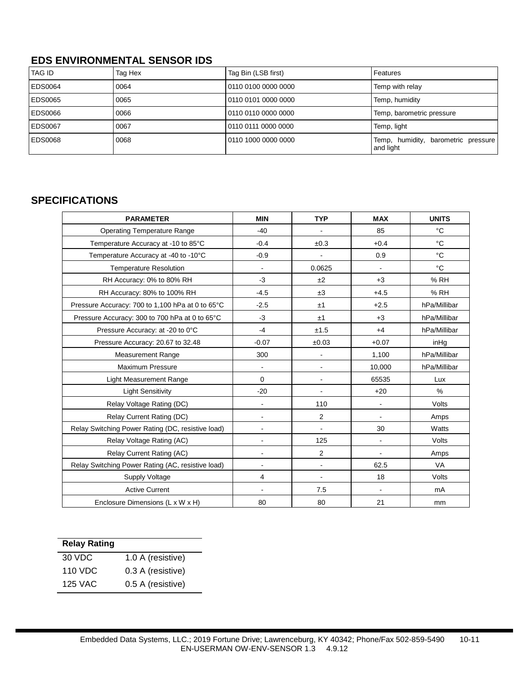## **EDS ENVIRONMENTAL SENSOR IDS**

| <b>TAG ID</b>  | Tag Hex | Tag Bin (LSB first) | Features                                         |
|----------------|---------|---------------------|--------------------------------------------------|
| EDS0064        | 0064    | 0110 0100 0000 0000 | Temp with relay                                  |
| EDS0065        | 0065    | 0110 0101 0000 0000 | Temp, humidity                                   |
| EDS0066        | 0066    | 0110 0110 0000 0000 | Temp, barometric pressure                        |
| <b>EDS0067</b> | 0067    | 0110 0111 0000 0000 | Temp, light                                      |
| EDS0068        | 0068    | 0110 1000 0000 0000 | Temp, humidity, barometric pressure<br>and light |

## **SPECIFICATIONS**

| <b>PARAMETER</b>                                  | <b>MIN</b>                   | <b>TYP</b>     | <b>MAX</b>     | <b>UNITS</b> |
|---------------------------------------------------|------------------------------|----------------|----------------|--------------|
| <b>Operating Temperature Range</b>                | $-40$                        |                | 85             | $^{\circ}C$  |
| Temperature Accuracy at -10 to 85°C               | $-0.4$                       | ±0.3           | $+0.4$         | $^{\circ}C$  |
| Temperature Accuracy at -40 to -10°C              | $-0.9$                       |                | 0.9            | °C           |
| <b>Temperature Resolution</b>                     | $\blacksquare$               | 0.0625         | $\blacksquare$ | °C           |
| RH Accuracy: 0% to 80% RH                         | $-3$                         | ±2             | $+3$           | % RH         |
| RH Accuracy: 80% to 100% RH                       | $-4.5$                       | ±3             | $+4.5$         | % RH         |
| Pressure Accuracy: 700 to 1,100 hPa at 0 to 65°C  | $-2.5$                       | ±1             | $+2.5$         | hPa/Millibar |
| Pressure Accuracy: 300 to 700 hPa at 0 to 65°C    | $-3$                         | ±1             | $+3$           | hPa/Millibar |
| Pressure Accuracy: at -20 to 0°C                  | $-4$                         | ±1.5           | $+4$           | hPa/Millibar |
| Pressure Accuracy: 20.67 to 32.48                 | $-0.07$                      | ±0.03          | $+0.07$        | inHg         |
| <b>Measurement Range</b>                          | 300                          |                | 1,100          | hPa/Millibar |
| Maximum Pressure                                  | $\blacksquare$               |                | 10,000         | hPa/Millibar |
| Light Measurement Range                           | 0                            | ä,             | 65535          | Lux          |
| <b>Light Sensitivity</b>                          | $-20$                        | $\blacksquare$ | $+20$          | %            |
| Relay Voltage Rating (DC)                         | $\overline{a}$               | 110            | $\blacksquare$ | Volts        |
| Relay Current Rating (DC)                         |                              | 2              |                | Amps         |
| Relay Switching Power Rating (DC, resistive load) |                              |                | 30             | Watts        |
| Relay Voltage Rating (AC)                         |                              | 125            | $\sim$         | Volts        |
| Relay Current Rating (AC)                         |                              | 2              |                | Amps         |
| Relay Switching Power Rating (AC, resistive load) | $\blacksquare$               | $\blacksquare$ | 62.5           | VA           |
| Supply Voltage                                    | 4                            | -              | 18             | Volts        |
| <b>Active Current</b>                             | $\qquad \qquad \blacksquare$ | 7.5            | $\blacksquare$ | mA           |
| Enclosure Dimensions (L x W x H)                  | 80                           | 80             | 21             | mm           |

| <b>Relay Rating</b> |                   |
|---------------------|-------------------|
| 30 VDC              | 1.0 A (resistive) |
| 110 VDC             | 0.3 A (resistive) |
| 125 VAC             | 0.5 A (resistive) |